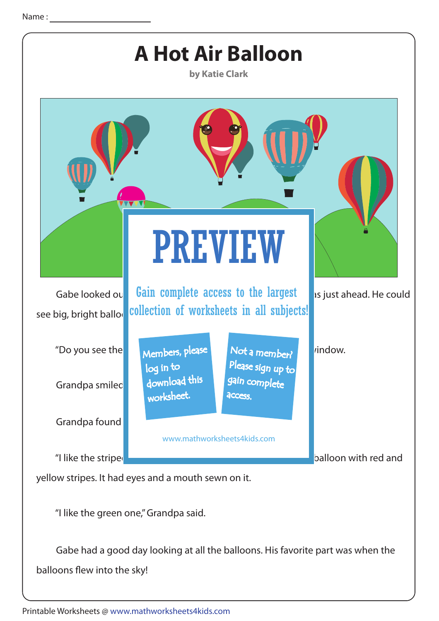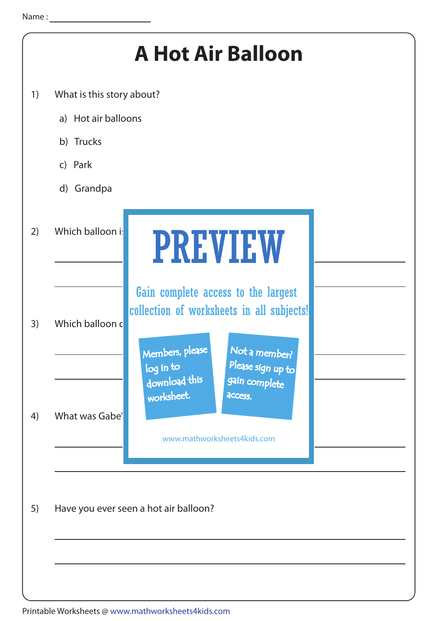